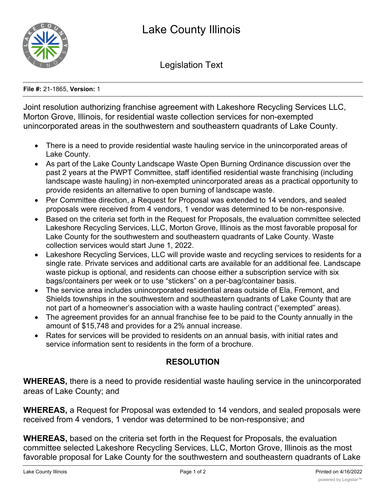

Legislation Text

**File #:** 21-1865, **Version:** 1

Joint resolution authorizing franchise agreement with Lakeshore Recycling Services LLC, Morton Grove, Illinois, for residential waste collection services for non-exempted unincorporated areas in the southwestern and southeastern quadrants of Lake County.

- · There is a need to provide residential waste hauling service in the unincorporated areas of Lake County.
- · As part of the Lake County Landscape Waste Open Burning Ordinance discussion over the past 2 years at the PWPT Committee, staff identified residential waste franchising (including landscape waste hauling) in non-exempted unincorporated areas as a practical opportunity to provide residents an alternative to open burning of landscape waste.
- · Per Committee direction, a Request for Proposal was extended to 14 vendors, and sealed proposals were received from 4 vendors, 1 vendor was determined to be non-responsive.
- · Based on the criteria set forth in the Request for Proposals, the evaluation committee selected Lakeshore Recycling Services, LLC, Morton Grove, Illinois as the most favorable proposal for Lake County for the southwestern and southeastern quadrants of Lake County. Waste collection services would start June 1, 2022.
- · Lakeshore Recycling Services, LLC will provide waste and recycling services to residents for a single rate. Private services and additional carts are available for an additional fee. Landscape waste pickup is optional, and residents can choose either a subscription service with six bags/containers per week or to use "stickers" on a per-bag/container basis.
- · The service area includes unincorporated residential areas outside of Ela, Fremont, and Shields townships in the southwestern and southeastern quadrants of Lake County that are not part of a homeowner's association with a waste hauling contract ("exempted" areas).
- · The agreement provides for an annual franchise fee to be paid to the County annually in the amount of \$15,748 and provides for a 2% annual increase.
- · Rates for services will be provided to residents on an annual basis, with initial rates and service information sent to residents in the form of a brochure.

## **RESOLUTION**

**WHEREAS,** there is a need to provide residential waste hauling service in the unincorporated areas of Lake County; and

**WHEREAS,** a Request for Proposal was extended to 14 vendors, and sealed proposals were received from 4 vendors, 1 vendor was determined to be non-responsive; and

**WHEREAS,** based on the criteria set forth in the Request for Proposals, the evaluation committee selected Lakeshore Recycling Services, LLC, Morton Grove, Illinois as the most favorable proposal for Lake County for the southwestern and southeastern quadrants of Lake